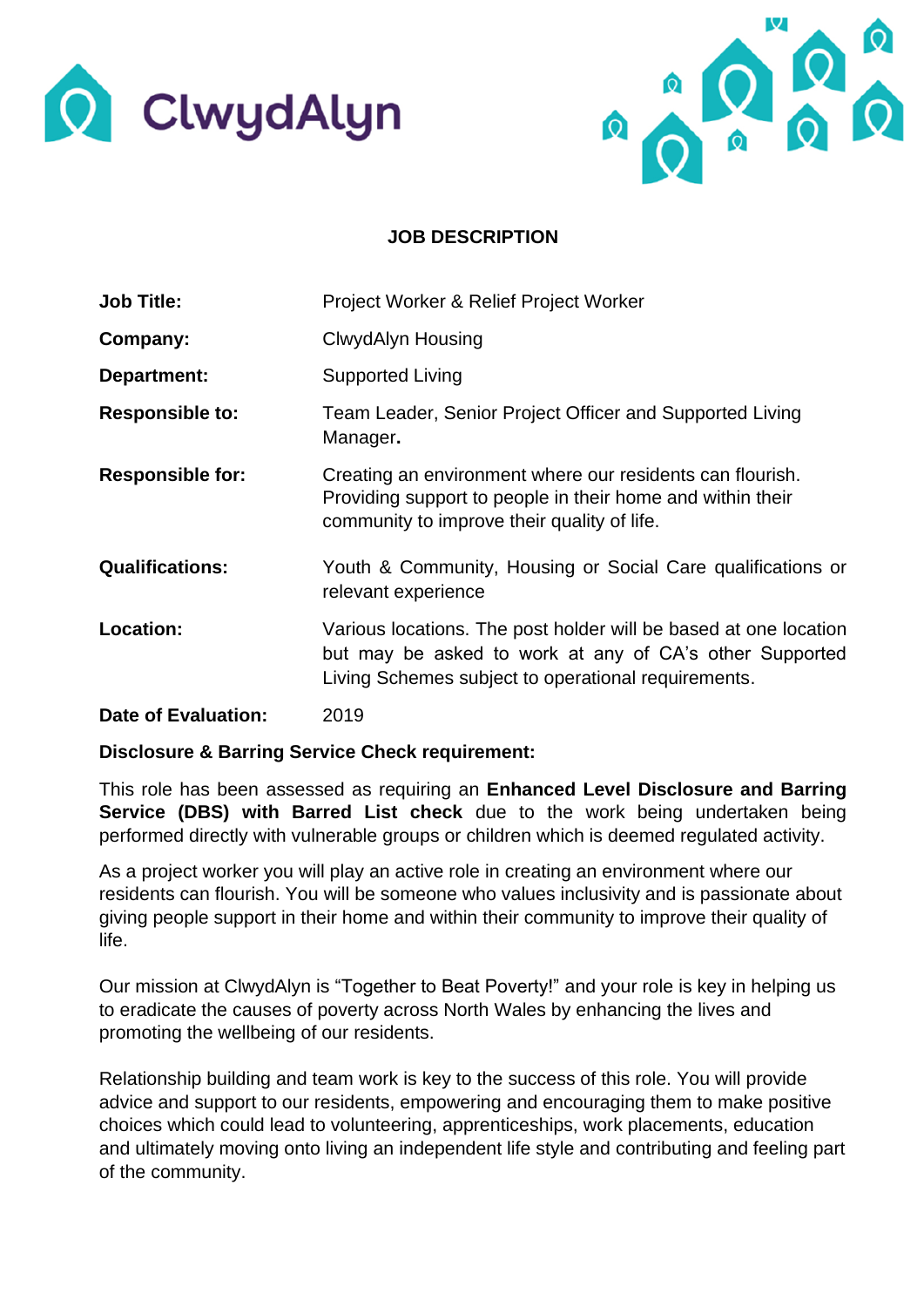



## **JOB DESCRIPTION**

| <b>Job Title:</b>          | Project Worker & Relief Project Worker                                                                                                                                             |
|----------------------------|------------------------------------------------------------------------------------------------------------------------------------------------------------------------------------|
| Company:                   | <b>ClwydAlyn Housing</b>                                                                                                                                                           |
| Department:                | <b>Supported Living</b>                                                                                                                                                            |
| <b>Responsible to:</b>     | Team Leader, Senior Project Officer and Supported Living<br>Manager.                                                                                                               |
| <b>Responsible for:</b>    | Creating an environment where our residents can flourish.<br>Providing support to people in their home and within their<br>community to improve their quality of life.             |
| <b>Qualifications:</b>     | Youth & Community, Housing or Social Care qualifications or<br>relevant experience                                                                                                 |
| Location:                  | Various locations. The post holder will be based at one location<br>but may be asked to work at any of CA's other Supported<br>Living Schemes subject to operational requirements. |
| <b>Date of Evaluation:</b> | 2019                                                                                                                                                                               |

## **Disclosure & Barring Service Check requirement:**

This role has been assessed as requiring an **Enhanced Level Disclosure and Barring Service (DBS) with Barred List check** due to the work being undertaken being performed directly with vulnerable groups or children which is deemed regulated activity.

As a project worker you will play an active role in creating an environment where our residents can flourish. You will be someone who values inclusivity and is passionate about giving people support in their home and within their community to improve their quality of life.

Our mission at ClwydAlyn is "Together to Beat Poverty!" and your role is key in helping us to eradicate the causes of poverty across North Wales by enhancing the lives and promoting the wellbeing of our residents.

Relationship building and team work is key to the success of this role. You will provide advice and support to our residents, empowering and encouraging them to make positive choices which could lead to volunteering, apprenticeships, work placements, education and ultimately moving onto living an independent life style and contributing and feeling part of the community.